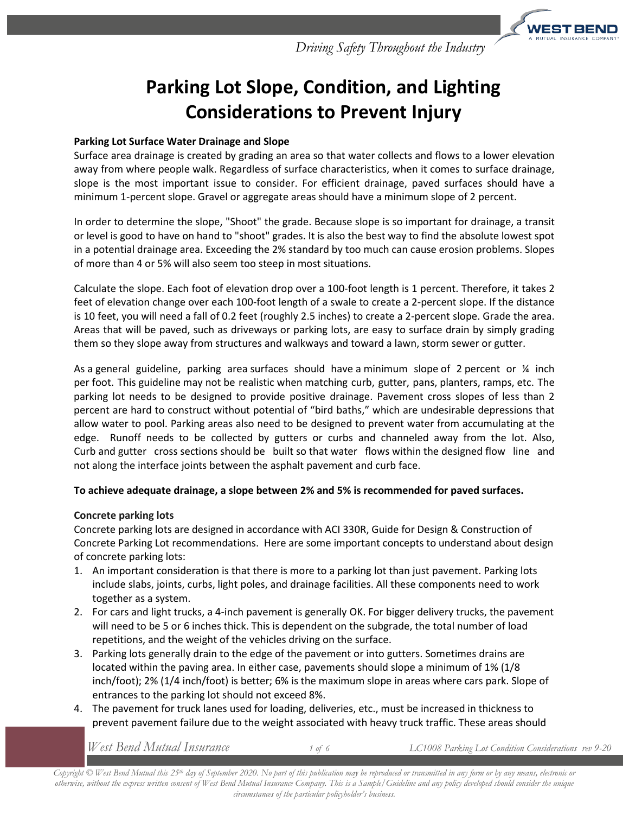

# **Parking Lot Slope, Condition, and Lighting Considerations to Prevent Injury**

### **Parking Lot Surface Water Drainage and Slope**

Surface area drainage is created by grading an area so that water collects and flows to a lower elevation away from where people walk. Regardless of surface characteristics, when it comes to surface drainage, slope is the most important issue to consider. For efficient drainage, paved surfaces should have a minimum 1-percent slope. Gravel or aggregate areas should have a minimum slope of 2 percent.

In order to determine the slope, "Shoot" the grade. Because slope is so important for drainage, a transit or level is good to have on hand to "shoot" grades. It is also the best way to find the absolute lowest spot in a potential drainage area. Exceeding the 2% standard by too much can cause erosion problems. Slopes of more than 4 or 5% will also seem too steep in most situations.

Calculate the slope. Each foot of elevation drop over a 100-foot length is 1 percent. Therefore, it takes 2 feet of elevation change over each 100-foot length of a swale to create a 2-percent slope. If the distance is 10 feet, you will need a fall of 0.2 feet (roughly 2.5 inches) to create a 2-percent slope. Grade the area. Areas that will be paved, such as driveways or parking lots, are easy to surface drain by simply grading them so they slope away from structures and walkways and toward a lawn, storm sewer or gutter.

As a general guideline, parking area surfaces should have a minimum slope of 2 percent or  $\frac{1}{4}$  inch per foot. This guideline may not be realistic when matching curb, gutter, pans, planters, ramps, etc. The parking lot needs to be designed to provide positive drainage. Pavement cross slopes of less than 2 percent are hard to construct without potential of "bird baths," which are undesirable depressions that allow water to pool. Parking areas also need to be designed to prevent water from accumulating at the edge. Runoff needs to be collected by gutters or curbs and channeled away from the lot. Also, Curb and gutter cross sections should be built so that water flows within the designed flow line and not along the interface joints between the asphalt pavement and curb face.

#### **To achieve adequate drainage, a slope between 2% and 5% is recommended for paved surfaces.**

#### **Concrete parking lots**

Concrete parking lots are designed in accordance with ACI 330R, Guide for Design & Construction of Concrete Parking Lot recommendations. Here are some important concepts to understand about design of concrete parking lots:

- 1. An important consideration is that there is more to a parking lot than just pavement. Parking lots include slabs, joints, curbs, light poles, and drainage facilities. All these components need to work together as a system.
- 2. For cars and light trucks, a 4-inch pavement is generally OK. For bigger delivery trucks, the pavement will need to be 5 or 6 inches thick. This is dependent on the subgrade, the total number of load repetitions, and the weight of the vehicles driving on the surface.
- 3. Parking lots generally drain to the edge of the pavement or into gutters. Sometimes drains are located within the paving area. In either case, pavements should slope a minimum of 1% (1/8) inch/foot); 2% (1/4 inch/foot) is better; 6% is the maximum slope in areas where cars park. Slope of entrances to the parking lot should not exceed 8%.
- 4. The pavement for truck lanes used for loading, deliveries, etc., must be increased in thickness to prevent pavement failure due to the weight associated with heavy truck traffic. These areas should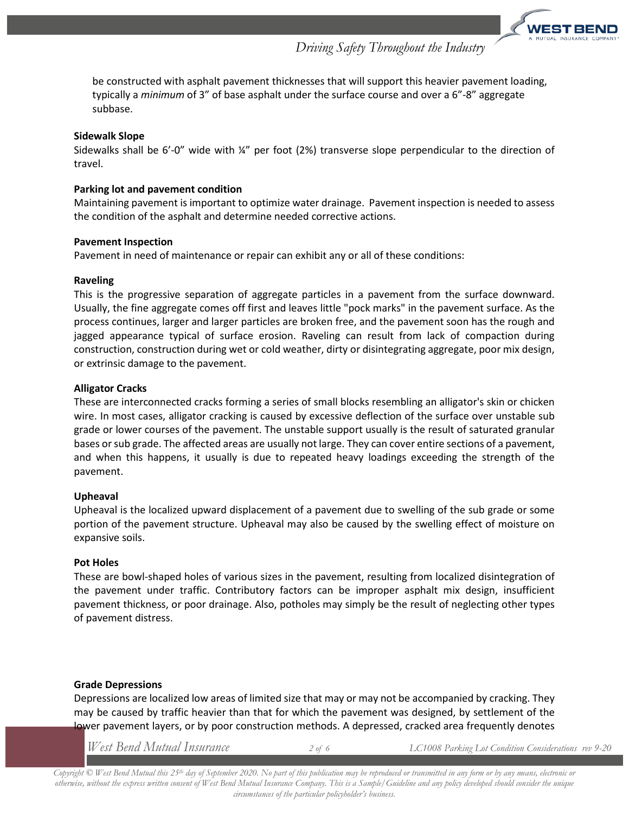

be constructed with asphalt pavement thicknesses that will support this heavier pavement loading, typically a *minimum* of 3" of base asphalt under the surface course and over a 6"-8" aggregate subbase.

#### **Sidewalk Slope**

Sidewalks shall be 6'-0" wide with  $\frac{1}{4}$ " per foot (2%) transverse slope perpendicular to the direction of travel.

#### **Parking lot and pavement condition**

Maintaining pavement is important to optimize water drainage. Pavement inspection is needed to assess the condition of the asphalt and determine needed corrective actions.

#### **Pavement Inspection**

Pavement in need of maintenance or repair can exhibit any or all of these conditions:

#### **Raveling**

This is the progressive separation of aggregate particles in a pavement from the surface downward. Usually, the fine aggregate comes off first and leaves little "pock marks" in the pavement surface. As the process continues, larger and larger particles are broken free, and the pavement soon has the rough and jagged appearance typical of surface erosion. Raveling can result from lack of compaction during construction, construction during wet or cold weather, dirty or disintegrating aggregate, poor mix design, or extrinsic damage to the pavement.

#### **Alligator Cracks**

These are interconnected cracks forming a series of small blocks resembling an alligator's skin or chicken wire. In most cases, alligator cracking is caused by excessive deflection of the surface over unstable sub grade or lower courses of the pavement. The unstable support usually is the result of saturated granular bases or sub grade. The affected areas are usually not large. They can cover entire sections of a pavement, and when this happens, it usually is due to repeated heavy loadings exceeding the strength of the pavement.

#### **Upheaval**

Upheaval is the localized upward displacement of a pavement due to swelling of the sub grade or some portion of the pavement structure. Upheaval may also be caused by the swelling effect of moisture on expansive soils.

#### **Pot Holes**

These are bowl-shaped holes of various sizes in the pavement, resulting from localized disintegration of the pavement under traffic. Contributory factors can be improper asphalt mix design, insufficient pavement thickness, or poor drainage. Also, potholes may simply be the result of neglecting other types of pavement distress.

#### **Grade Depressions**

Depressions are localized low areas of limited size that may or may not be accompanied by cracking. They may be caused by traffic heavier than that for which the pavement was designed, by settlement of the lower pavement layers, or by poor construction methods. A depressed, cracked area frequently denotes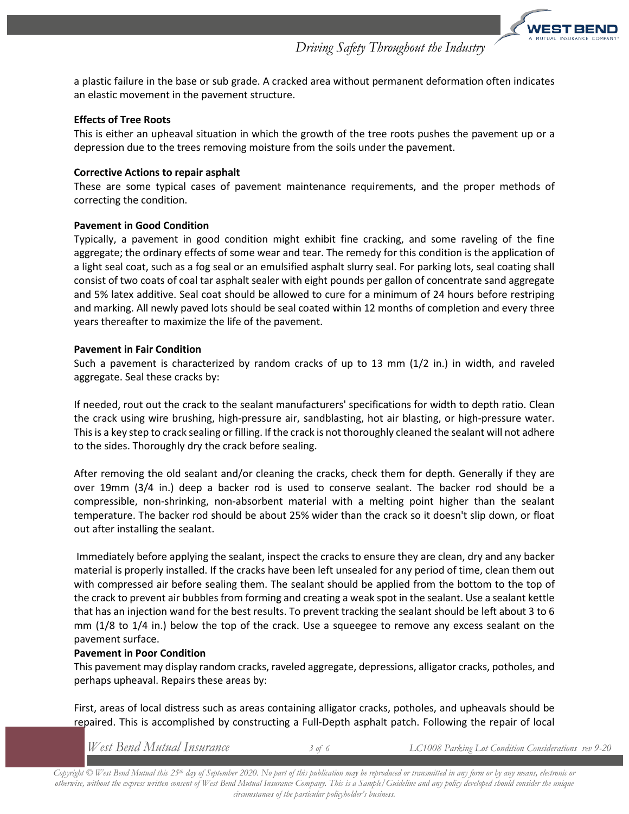

a plastic failure in the base or sub grade. A cracked area without permanent deformation often indicates an elastic movement in the pavement structure.

#### **Effects of Tree Roots**

This is either an upheaval situation in which the growth of the tree roots pushes the pavement up or a depression due to the trees removing moisture from the soils under the pavement.

#### **Corrective Actions to repair asphalt**

These are some typical cases of pavement maintenance requirements, and the proper methods of correcting the condition.

#### **Pavement in Good Condition**

Typically, a pavement in good condition might exhibit fine cracking, and some raveling of the fine aggregate; the ordinary effects of some wear and tear. The remedy for this condition is the application of a light seal coat, such as a fog seal or an emulsified asphalt slurry seal. For parking lots, seal coating shall consist of two coats of coal tar asphalt sealer with eight pounds per gallon of concentrate sand aggregate and 5% latex additive. Seal coat should be allowed to cure for a minimum of 24 hours before restriping and marking. All newly paved lots should be seal coated within 12 months of completion and every three years thereafter to maximize the life of the pavement.

#### **Pavement in Fair Condition**

Such a pavement is characterized by random cracks of up to 13 mm (1/2 in.) in width, and raveled aggregate. Seal these cracks by:

If needed, rout out the crack to the sealant manufacturers' specifications for width to depth ratio. Clean the crack using wire brushing, high-pressure air, sandblasting, hot air blasting, or high-pressure water. This is a key step to crack sealing or filling. If the crack is not thoroughly cleaned the sealant will not adhere to the sides. Thoroughly dry the crack before sealing.

After removing the old sealant and/or cleaning the cracks, check them for depth. Generally if they are over 19mm (3/4 in.) deep a backer rod is used to conserve sealant. The backer rod should be a compressible, non-shrinking, non-absorbent material with a melting point higher than the sealant temperature. The backer rod should be about 25% wider than the crack so it doesn't slip down, or float out after installing the sealant.

Immediately before applying the sealant, inspect the cracks to ensure they are clean, dry and any backer material is properly installed. If the cracks have been left unsealed for any period of time, clean them out with compressed air before sealing them. The sealant should be applied from the bottom to the top of the crack to prevent air bubbles from forming and creating a weak spot in the sealant. Use a sealant kettle that has an injection wand for the best results. To prevent tracking the sealant should be left about 3 to 6 mm (1/8 to 1/4 in.) below the top of the crack. Use a squeegee to remove any excess sealant on the pavement surface.

#### **Pavement in Poor Condition**

This pavement may display random cracks, raveled aggregate, depressions, alligator cracks, potholes, and perhaps upheaval. Repairs these areas by:

First, areas of local distress such as areas containing alligator cracks, potholes, and upheavals should be repaired. This is accomplished by constructing a Full-Depth asphalt patch. Following the repair of local

*West Bend Mutual Insurance 3 of 6 LC1008 Parking Lot Condition Considerations rev 9-20*

*Copyright © West Bend Mutual this 25th day of September 2020. No part of this publication may be reproduced or transmitted in any form or by any means, electronic or otherwise, without the express written consent of West Bend Mutual Insurance Company. This is a Sample/Guideline and any policy developed should consider the unique circumstances of the particular policyholder's business.*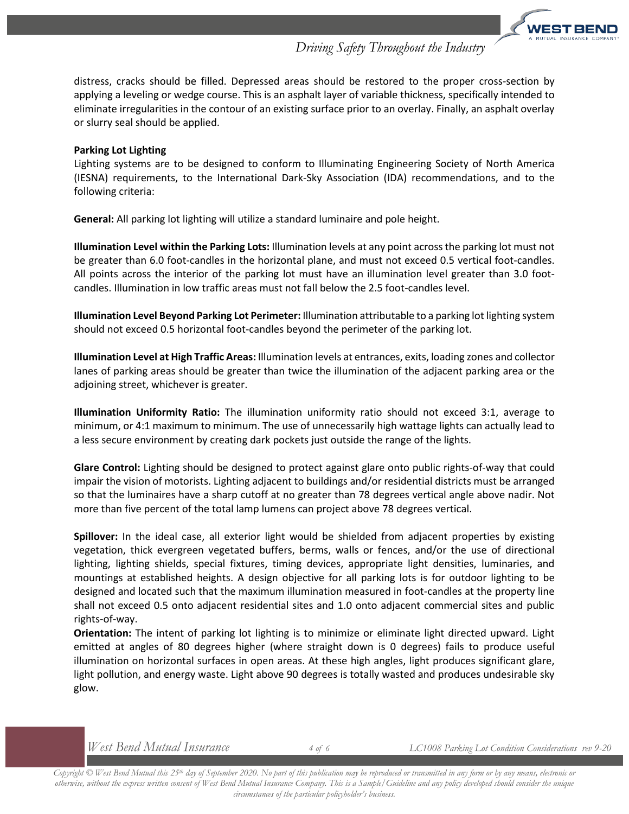distress, cracks should be filled. Depressed areas should be restored to the proper cross-section by applying a leveling or wedge course. This is an asphalt layer of variable thickness, specifically intended to eliminate irregularities in the contour of an existing surface prior to an overlay. Finally, an asphalt overlay or slurry seal should be applied.

#### **Parking Lot Lighting**

Lighting systems are to be designed to conform to Illuminating Engineering Society of North America (IESNA) requirements, to the International Dark-Sky Association (IDA) recommendations, and to the following criteria:

**General:** All parking lot lighting will utilize a standard luminaire and pole height.

**Illumination Level within the Parking Lots:** Illumination levels at any point across the parking lot must not be greater than 6.0 foot-candles in the horizontal plane, and must not exceed 0.5 vertical foot-candles. All points across the interior of the parking lot must have an illumination level greater than 3.0 footcandles. Illumination in low traffic areas must not fall below the 2.5 foot-candles level.

**Illumination Level Beyond Parking Lot Perimeter:** Illumination attributable to a parking lot lighting system should not exceed 0.5 horizontal foot-candles beyond the perimeter of the parking lot.

**Illumination Level at High Traffic Areas:** Illumination levels at entrances, exits, loading zones and collector lanes of parking areas should be greater than twice the illumination of the adjacent parking area or the adjoining street, whichever is greater.

**Illumination Uniformity Ratio:** The illumination uniformity ratio should not exceed 3:1, average to minimum, or 4:1 maximum to minimum. The use of unnecessarily high wattage lights can actually lead to a less secure environment by creating dark pockets just outside the range of the lights.

**Glare Control:** Lighting should be designed to protect against glare onto public rights-of-way that could impair the vision of motorists. Lighting adjacent to buildings and/or residential districts must be arranged so that the luminaires have a sharp cutoff at no greater than 78 degrees vertical angle above nadir. Not more than five percent of the total lamp lumens can project above 78 degrees vertical.

**Spillover:** In the ideal case, all exterior light would be shielded from adjacent properties by existing vegetation, thick evergreen vegetated buffers, berms, walls or fences, and/or the use of directional lighting, lighting shields, special fixtures, timing devices, appropriate light densities, luminaries, and mountings at established heights. A design objective for all parking lots is for outdoor lighting to be designed and located such that the maximum illumination measured in foot-candles at the property line shall not exceed 0.5 onto adjacent residential sites and 1.0 onto adjacent commercial sites and public rights-of-way.

**Orientation:** The intent of parking lot lighting is to minimize or eliminate light directed upward. Light emitted at angles of 80 degrees higher (where straight down is 0 degrees) fails to produce useful illumination on horizontal surfaces in open areas. At these high angles, light produces significant glare, light pollution, and energy waste. Light above 90 degrees is totally wasted and produces undesirable sky glow.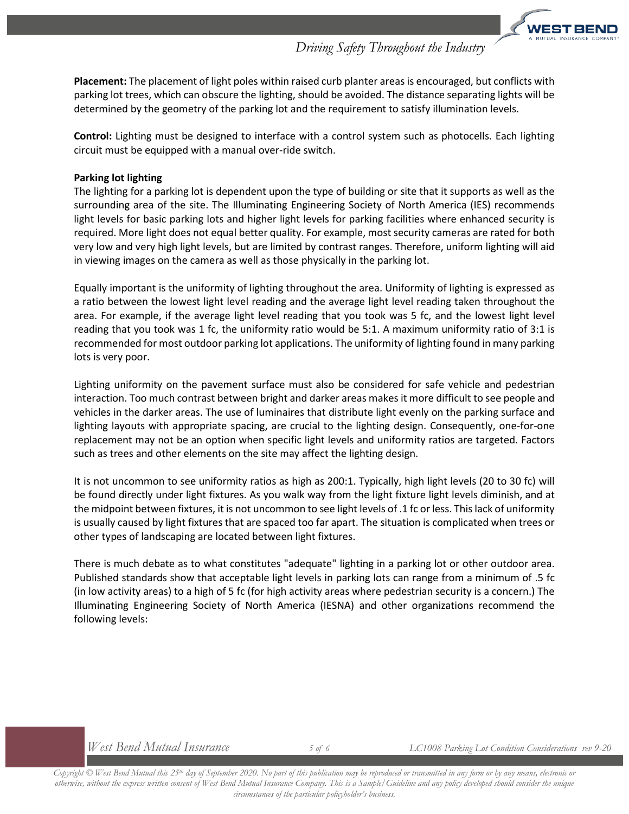**Placement:** The placement of light poles within raised curb planter areas is encouraged, but conflicts with parking lot trees, which can obscure the lighting, should be avoided. The distance separating lights will be determined by the geometry of the parking lot and the requirement to satisfy illumination levels.

**Control:** Lighting must be designed to interface with a control system such as photocells. Each lighting circuit must be equipped with a manual over-ride switch.

#### **Parking lot lighting**

The lighting for a parking lot is dependent upon the type of building or site that it supports as well as the surrounding area of the site. The Illuminating Engineering Society of North America (IES) recommends light levels for basic parking lots and higher light levels for parking facilities where enhanced security is required. More light does not equal better quality. For example, most security cameras are rated for both very low and very high light levels, but are limited by contrast ranges. Therefore, uniform lighting will aid in viewing images on the camera as well as those physically in the parking lot.

Equally important is the uniformity of lighting throughout the area. Uniformity of lighting is expressed as a ratio between the lowest light level reading and the average light level reading taken throughout the area. For example, if the average light level reading that you took was 5 fc, and the lowest light level reading that you took was 1 fc, the uniformity ratio would be 5:1. A maximum uniformity ratio of 3:1 is recommended for most outdoor parking lot applications. The uniformity of lighting found in many parking lots is very poor.

Lighting uniformity on the pavement surface must also be considered for safe vehicle and pedestrian interaction. Too much contrast between bright and darker areas makes it more difficult to see people and vehicles in the darker areas. The use of luminaires that distribute light evenly on the parking surface and lighting layouts with appropriate spacing, are crucial to the lighting design. Consequently, one-for-one replacement may not be an option when specific light levels and uniformity ratios are targeted. Factors such as trees and other elements on the site may affect the lighting design.

It is not uncommon to see uniformity ratios as high as 200:1. Typically, high light levels (20 to 30 fc) will be found directly under light fixtures. As you walk way from the light fixture light levels diminish, and at the midpoint between fixtures, it is not uncommon to see light levels of .1 fc or less. This lack of uniformity is usually caused by light fixtures that are spaced too far apart. The situation is complicated when trees or other types of landscaping are located between light fixtures.

There is much debate as to what constitutes "adequate" lighting in a parking lot or other outdoor area. Published standards show that acceptable light levels in parking lots can range from a minimum of .5 fc (in low activity areas) to a high of 5 fc (for high activity areas where pedestrian security is a concern.) The Illuminating Engineering Society of North America (IESNA) and other organizations recommend the following levels: